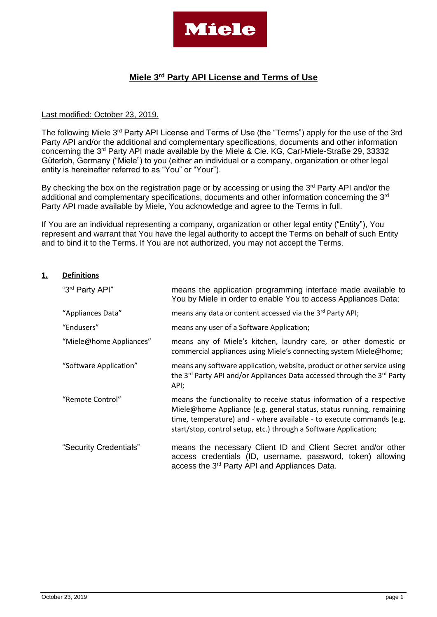

# **Miele 3rd Party API License and Terms of Use**

#### Last modified: October 23, 2019.

The following Miele 3<sup>rd</sup> Party API License and Terms of Use (the "Terms") apply for the use of the 3rd Party API and/or the additional and complementary specifications, documents and other information concerning the 3rd Party API made available by the Miele & Cie. KG, Carl-Miele-Straße 29, 33332 Güterloh, Germany ("Miele") to you (either an individual or a company, organization or other legal entity is hereinafter referred to as "You" or "Your").

By checking the box on the registration page or by accessing or using the  $3<sup>rd</sup>$  Party API and/or the additional and complementary specifications, documents and other information concerning the 3<sup>rd</sup> Party API made available by Miele, You acknowledge and agree to the Terms in full.

If You are an individual representing a company, organization or other legal entity ("Entity"), You represent and warrant that You have the legal authority to accept the Terms on behalf of such Entity and to bind it to the Terms. If You are not authorized, you may not accept the Terms.

#### **1. Definitions**

| "3rd Party API"         | means the application programming interface made available to<br>You by Miele in order to enable You to access Appliances Data;                                                                                                                                                           |
|-------------------------|-------------------------------------------------------------------------------------------------------------------------------------------------------------------------------------------------------------------------------------------------------------------------------------------|
| "Appliances Data"       | means any data or content accessed via the 3rd Party API;                                                                                                                                                                                                                                 |
| "Endusers"              | means any user of a Software Application;                                                                                                                                                                                                                                                 |
| "Miele@home Appliances" | means any of Miele's kitchen, laundry care, or other domestic or<br>commercial appliances using Miele's connecting system Miele@home;                                                                                                                                                     |
| "Software Application"  | means any software application, website, product or other service using<br>the 3 <sup>rd</sup> Party API and/or Appliances Data accessed through the 3 <sup>rd</sup> Party<br>API;                                                                                                        |
| "Remote Control"        | means the functionality to receive status information of a respective<br>Miele@home Appliance (e.g. general status, status running, remaining<br>time, temperature) and - where available - to execute commands (e.g.<br>start/stop, control setup, etc.) through a Software Application; |
| "Security Credentials"  | means the necessary Client ID and Client Secret and/or other<br>access credentials (ID, username, password, token) allowing<br>access the 3 <sup>rd</sup> Party API and Appliances Data.                                                                                                  |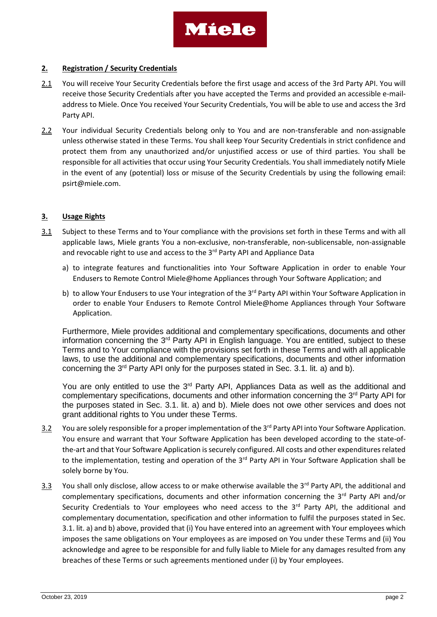

#### **2. Registration / Security Credentials**

- 2.1 You will receive Your Security Credentials before the first usage and access of the 3rd Party API. You will receive those Security Credentials after you have accepted the Terms and provided an accessible e-mailaddress to Miele. Once You received Your Security Credentials, You will be able to use and access the 3rd Party API.
- 2.2 Your individual Security Credentials belong only to You and are non-transferable and non-assignable unless otherwise stated in these Terms. You shall keep Your Security Credentials in strict confidence and protect them from any unauthorized and/or unjustified access or use of third parties. You shall be responsible for all activities that occur using Your Security Credentials. You shall immediately notify Miele in the event of any (potential) loss or misuse of the Security Credentials by using the following email: [psirt@miele.com.](mailto:psirt@miele.com)

#### **3. Usage Rights**

- 3.1 Subject to these Terms and to Your compliance with the provisions set forth in these Terms and with all applicable laws, Miele grants You a non-exclusive, non-transferable, non-sublicensable, non-assignable and revocable right to use and access to the 3<sup>rd</sup> Party API and Appliance Data
	- a) to integrate features and functionalities into Your Software Application in order to enable Your Endusers to Remote Control Miele@home Appliances through Your Software Application; and
	- b) to allow Your Endusers to use Your integration of the 3<sup>rd</sup> Party API within Your Software Application in order to enable Your Endusers to Remote Control Miele@home Appliances through Your Software Application.

Furthermore, Miele provides additional and complementary specifications, documents and other information concerning the 3<sup>rd</sup> Party API in English language. You are entitled, subject to these Terms and to Your compliance with the provisions set forth in these Terms and with all applicable laws, to use the additional and complementary specifications, documents and other information concerning the  $3<sup>rd</sup>$  Party API only for the purposes stated in Sec. 3.1. lit. a) and b).

You are only entitled to use the 3<sup>rd</sup> Party API, Appliances Data as well as the additional and complementary specifications, documents and other information concerning the 3<sup>rd</sup> Party API for the purposes stated in Sec. 3.1. lit. a) and b). Miele does not owe other services and does not grant additional rights to You under these Terms.

- 3.2 You are solely responsible for a proper implementation of the 3<sup>rd</sup> Party API into Your Software Application. You ensure and warrant that Your Software Application has been developed according to the state-ofthe-art and that Your Software Application is securely configured. All costs and other expenditures related to the implementation, testing and operation of the  $3<sup>rd</sup>$  Party API in Your Software Application shall be solely borne by You.
- 3.3 You shall only disclose, allow access to or make otherwise available the  $3^{rd}$  Party API, the additional and complementary specifications, documents and other information concerning the 3<sup>rd</sup> Party API and/or Security Credentials to Your employees who need access to the  $3<sup>rd</sup>$  Party API, the additional and complementary documentation, specification and other information to fulfil the purposes stated in Sec. 3.1. lit. a) and b) above, provided that (i) You have entered into an agreement with Your employees which imposes the same obligations on Your employees as are imposed on You under these Terms and (ii) You acknowledge and agree to be responsible for and fully liable to Miele for any damages resulted from any breaches of these Terms or such agreements mentioned under (i) by Your employees.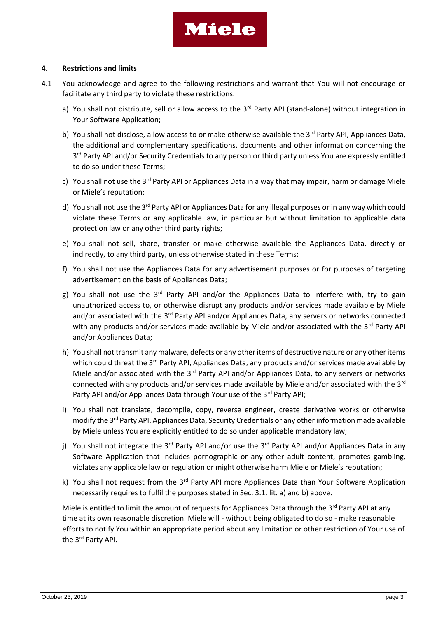

#### **4. Restrictions and limits**

- 4.1 You acknowledge and agree to the following restrictions and warrant that You will not encourage or facilitate any third party to violate these restrictions.
	- a) You shall not distribute, sell or allow access to the 3<sup>rd</sup> Party API (stand-alone) without integration in Your Software Application;
	- b) You shall not disclose, allow access to or make otherwise available the  $3^{rd}$  Party API, Appliances Data, the additional and complementary specifications, documents and other information concerning the 3<sup>rd</sup> Party API and/or Security Credentials to any person or third party unless You are expressly entitled to do so under these Terms;
	- c) You shall not use the 3<sup>rd</sup> Party API or Appliances Data in a way that may impair, harm or damage Miele or Miele's reputation;
	- d) You shall not use the 3<sup>rd</sup> Party API or Appliances Data for any illegal purposes or in any way which could violate these Terms or any applicable law, in particular but without limitation to applicable data protection law or any other third party rights;
	- e) You shall not sell, share, transfer or make otherwise available the Appliances Data, directly or indirectly, to any third party, unless otherwise stated in these Terms;
	- f) You shall not use the Appliances Data for any advertisement purposes or for purposes of targeting advertisement on the basis of Appliances Data;
	- g) You shall not use the 3<sup>rd</sup> Party API and/or the Appliances Data to interfere with, try to gain unauthorized access to, or otherwise disrupt any products and/or services made available by Miele and/or associated with the 3<sup>rd</sup> Party API and/or Appliances Data, any servers or networks connected with any products and/or services made available by Miele and/or associated with the 3<sup>rd</sup> Party API and/or Appliances Data;
	- h) You shall not transmit any malware, defects or any other items of destructive nature or any other items which could threat the 3<sup>rd</sup> Party API, Appliances Data, any products and/or services made available by Miele and/or associated with the  $3<sup>rd</sup>$  Party API and/or Appliances Data, to any servers or networks connected with any products and/or services made available by Miele and/or associated with the  $3<sup>rd</sup>$ Party API and/or Appliances Data through Your use of the 3rd Party API;
	- i) You shall not translate, decompile, copy, reverse engineer, create derivative works or otherwise modify the 3<sup>rd</sup> Party API, Appliances Data, Security Credentials or any other information made available by Miele unless You are explicitly entitled to do so under applicable mandatory law;
	- j) You shall not integrate the 3<sup>rd</sup> Party API and/or use the 3<sup>rd</sup> Party API and/or Appliances Data in any Software Application that includes pornographic or any other adult content, promotes gambling, violates any applicable law or regulation or might otherwise harm Miele or Miele's reputation;
	- k) You shall not request from the 3<sup>rd</sup> Party API more Appliances Data than Your Software Application necessarily requires to fulfil the purposes stated in Sec. 3.1. lit. a) and b) above.

Miele is entitled to limit the amount of requests for Appliances Data through the 3<sup>rd</sup> Party API at any time at its own reasonable discretion. Miele will - without being obligated to do so - make reasonable efforts to notify You within an appropriate period about any limitation or other restriction of Your use of the 3<sup>rd</sup> Party API.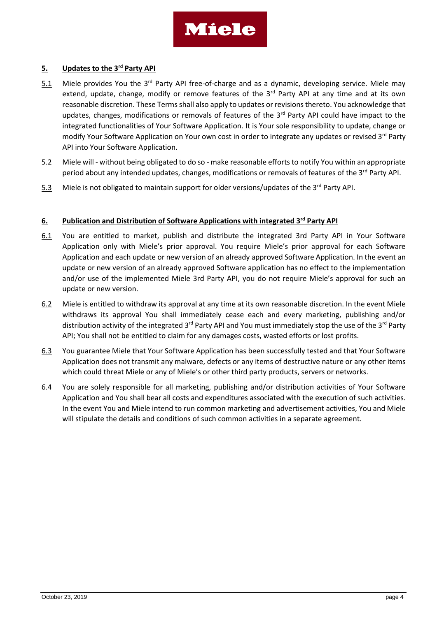

#### **5. Updates to the 3rd Party API**

- 5.1 Miele provides You the 3<sup>rd</sup> Party API free-of-charge and as a dynamic, developing service. Miele may extend, update, change, modify or remove features of the  $3<sup>rd</sup>$  Party API at any time and at its own reasonable discretion. These Terms shall also apply to updates or revisions thereto. You acknowledge that updates, changes, modifications or removals of features of the 3<sup>rd</sup> Party API could have impact to the integrated functionalities of Your Software Application. It is Your sole responsibility to update, change or modify Your Software Application on Your own cost in order to integrate any updates or revised 3<sup>rd</sup> Party API into Your Software Application.
- 5.2 Miele will without being obligated to do so make reasonable efforts to notify You within an appropriate period about any intended updates, changes, modifications or removals of features of the 3<sup>rd</sup> Party API.
- 5.3 Miele is not obligated to maintain support for older versions/updates of the 3<sup>rd</sup> Party API.

#### **6. Publication and Distribution of Software Applications with integrated 3rd Party API**

- 6.1 You are entitled to market, publish and distribute the integrated 3rd Party API in Your Software Application only with Miele's prior approval. You require Miele's prior approval for each Software Application and each update or new version of an already approved Software Application. In the event an update or new version of an already approved Software application has no effect to the implementation and/or use of the implemented Miele 3rd Party API, you do not require Miele's approval for such an update or new version.
- 6.2 Miele is entitled to withdraw its approval at any time at its own reasonable discretion. In the event Miele withdraws its approval You shall immediately cease each and every marketing, publishing and/or distribution activity of the integrated 3<sup>rd</sup> Party API and You must immediately stop the use of the 3<sup>rd</sup> Party API; You shall not be entitled to claim for any damages costs, wasted efforts or lost profits.
- 6.3 You guarantee Miele that Your Software Application has been successfully tested and that Your Software Application does not transmit any malware, defects or any items of destructive nature or any other items which could threat Miele or any of Miele's or other third party products, servers or networks.
- 6.4 You are solely responsible for all marketing, publishing and/or distribution activities of Your Software Application and You shall bear all costs and expenditures associated with the execution of such activities. In the event You and Miele intend to run common marketing and advertisement activities, You and Miele will stipulate the details and conditions of such common activities in a separate agreement.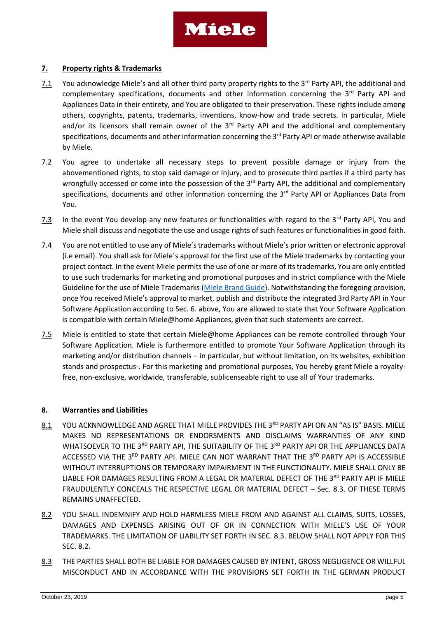

#### **7. Property rights & Trademarks**

- 7.1 You acknowledge Miele's and all other third party property rights to the 3<sup>rd</sup> Party API, the additional and complementary specifications, documents and other information concerning the  $3<sup>rd</sup>$  Party API and Appliances Data in their entirety, and You are obligated to their preservation. These rights include among others, copyrights, patents, trademarks, inventions, know-how and trade secrets. In particular, Miele and/or its licensors shall remain owner of the  $3<sup>rd</sup>$  Party API and the additional and complementary specifications, documents and other information concerning the 3<sup>rd</sup> Party API or made otherwise available by Miele.
- 7.2 You agree to undertake all necessary steps to prevent possible damage or injury from the abovementioned rights, to stop said damage or injury, and to prosecute third parties if a third party has wrongfully accessed or come into the possession of the 3<sup>rd</sup> Party API, the additional and complementary specifications, documents and other information concerning the 3<sup>rd</sup> Party API or Appliances Data from You.
- $7.3$  In the event You develop any new features or functionalities with regard to the 3<sup>rd</sup> Party API, You and Miele shall discuss and negotiate the use and usage rights of such features or functionalities in good faith.
- 7.4 You are not entitled to use any of Miele's trademarks without Miele's prior written or electronic approval (i.e email). You shall ask for Miele´s approval for the first use of the Miele trademarks by contacting your project contact. In the event Miele permits the use of one or more of its trademarks, You are only entitled to use such trademarks for marketing and promotional purposes and in strict compliance with the Miele Guideline for the use of Miele Trademarks [\(Miele Brand Guide\)](https://www.miele.com/developer/assets/Brand_Guide-3rd_Party_Logo.pdf). Notwithstanding the foregoing provision, once You received Miele's approval to market, publish and distribute the integrated 3rd Party API in Your Software Application according to Sec. 6. above, You are allowed to state that Your Software Application is compatible with certain Miele@home Appliances, given that such statements are correct.
- 7.5 Miele is entitled to state that certain Miele@home Appliances can be remote controlled through Your Software Application. Miele is furthermore entitled to promote Your Software Application through its marketing and/or distribution channels – in particular, but without limitation, on its websites, exhibition stands and prospectus-. For this marketing and promotional purposes, You hereby grant Miele a royaltyfree, non-exclusive, worldwide, transferable, sublicenseable right to use all of Your trademarks.

#### **8. Warranties and Liabilities**

- 8.1 YOU ACKNNOWLEDGE AND AGREE THAT MIELE PROVIDES THE 3RD PARTY API ON AN "AS IS" BASIS. MIELE MAKES NO REPRESENTATIONS OR ENDORSMENTS AND DISCLAIMS WARRANTIES OF ANY KIND WHATSOEVER TO THE 3RD PARTY API, THE SUITABILITY OF THE 3RD PARTY API OR THE APPLIANCES DATA ACCESSED VIA THE 3RD PARTY API. MIELE CAN NOT WARRANT THAT THE 3RD PARTY API IS ACCESSIBLE WITHOUT INTERRUPTIONS OR TEMPORARY IMPAIRMENT IN THE FUNCTIONALITY. MIELE SHALL ONLY BE LIABLE FOR DAMAGES RESULTING FROM A LEGAL OR MATERIAL DEFECT OF THE 3<sup>RD</sup> PARTY API IF MIELE FRAUDULENTLY CONCEALS THE RESPECTIVE LEGAL OR MATERIAL DEFECT – Sec. 8.3. OF THESE TERMS REMAINS UNAFFECTED.
- 8.2 YOU SHALL INDEMNIFY AND HOLD HARMLESS MIELE FROM AND AGAINST ALL CLAIMS, SUITS, LOSSES, DAMAGES AND EXPENSES ARISING OUT OF OR IN CONNECTION WITH MIELE'S USE OF YOUR TRADEMARKS. THE LIMITATION OF LIABILITY SET FORTH IN SEC. 8.3. BELOW SHALL NOT APPLY FOR THIS SEC. 8.2.
- 8.3 THE PARTIES SHALL BOTH BE LIABLE FOR DAMAGES CAUSED BY INTENT, GROSS NEGLIGENCE OR WILLFUL MISCONDUCT AND IN ACCORDANCE WITH THE PROVISIONS SET FORTH IN THE GERMAN PRODUCT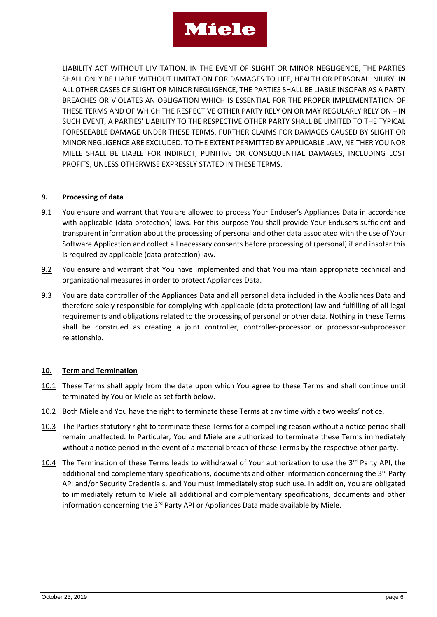# **Miele**

LIABILITY ACT WITHOUT LIMITATION. IN THE EVENT OF SLIGHT OR MINOR NEGLIGENCE, THE PARTIES SHALL ONLY BE LIABLE WITHOUT LIMITATION FOR DAMAGES TO LIFE, HEALTH OR PERSONAL INJURY. IN ALL OTHER CASES OF SLIGHT OR MINOR NEGLIGENCE, THE PARTIES SHALL BE LIABLE INSOFAR AS A PARTY BREACHES OR VIOLATES AN OBLIGATION WHICH IS ESSENTIAL FOR THE PROPER IMPLEMENTATION OF THESE TERMS AND OF WHICH THE RESPECTIVE OTHER PARTY RELY ON OR MAY REGULARLY RELY ON – IN SUCH EVENT, A PARTIES' LIABILITY TO THE RESPECTIVE OTHER PARTY SHALL BE LIMITED TO THE TYPICAL FORESEEABLE DAMAGE UNDER THESE TERMS. FURTHER CLAIMS FOR DAMAGES CAUSED BY SLIGHT OR MINOR NEGLIGENCE ARE EXCLUDED. TO THE EXTENT PERMITTED BY APPLICABLE LAW, NEITHER YOU NOR MIELE SHALL BE LIABLE FOR INDIRECT, PUNITIVE OR CONSEQUENTIAL DAMAGES, INCLUDING LOST PROFITS, UNLESS OTHERWISE EXPRESSLY STATED IN THESE TERMS.

### **9. Processing of data**

- 9.1 You ensure and warrant that You are allowed to process Your Enduser's Appliances Data in accordance with applicable (data protection) laws. For this purpose You shall provide Your Endusers sufficient and transparent information about the processing of personal and other data associated with the use of Your Software Application and collect all necessary consents before processing of (personal) if and insofar this is required by applicable (data protection) law.
- 9.2 You ensure and warrant that You have implemented and that You maintain appropriate technical and organizational measures in order to protect Appliances Data.
- 9.3 You are data controller of the Appliances Data and all personal data included in the Appliances Data and therefore solely responsible for complying with applicable (data protection) law and fulfilling of all legal requirements and obligations related to the processing of personal or other data. Nothing in these Terms shall be construed as creating a joint controller, controller-processor or processor-subprocessor relationship.

## **10. Term and Termination**

- 10.1 These Terms shall apply from the date upon which You agree to these Terms and shall continue until terminated by You or Miele as set forth below.
- 10.2 Both Miele and You have the right to terminate these Terms at any time with a two weeks' notice.
- 10.3 The Parties statutory right to terminate these Terms for a compelling reason without a notice period shall remain unaffected. In Particular, You and Miele are authorized to terminate these Terms immediately without a notice period in the event of a material breach of these Terms by the respective other party.
- 10.4 The Termination of these Terms leads to withdrawal of Your authorization to use the 3<sup>rd</sup> Party API, the additional and complementary specifications, documents and other information concerning the  $3<sup>rd</sup>$  Party API and/or Security Credentials, and You must immediately stop such use. In addition, You are obligated to immediately return to Miele all additional and complementary specifications, documents and other information concerning the  $3<sup>rd</sup>$  Party API or Appliances Data made available by Miele.